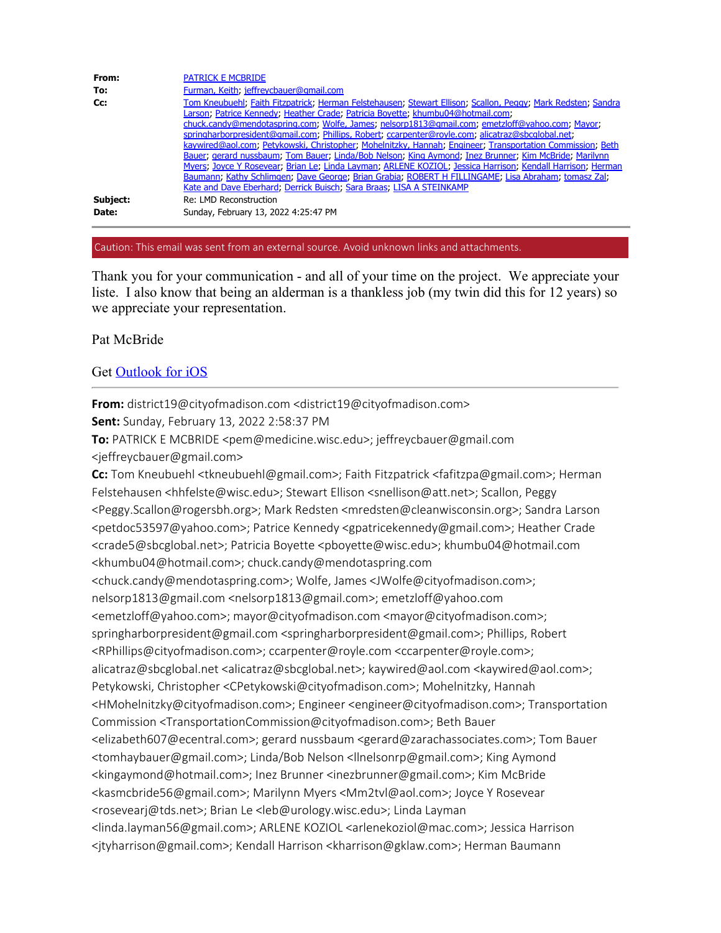| From:             | <b>PATRICK E MCBRIDE</b>                                                                                                                                                                                                                                                                                                                                                                                                                                                                                             |
|-------------------|----------------------------------------------------------------------------------------------------------------------------------------------------------------------------------------------------------------------------------------------------------------------------------------------------------------------------------------------------------------------------------------------------------------------------------------------------------------------------------------------------------------------|
| To:               | Furman, Keith, jeffreycbauer@gmail.com                                                                                                                                                                                                                                                                                                                                                                                                                                                                               |
| Cc:               | Tom Kneubuehl, Faith Fitzpatrick, Herman Felstehausen, Stewart Ellison, Scallon, Peggy, Mark Redsten, Sandra<br>Larson, Patrice Kennedy, Heather Crade, Patricia Boyette, khumbu04@hotmail.com,<br>chuck.candy@mendotaspring.com; Wolfe, James; nelsorp1813@qmail.com; emetzloff@yahoo.com; Mayor;<br>springharborpresident@qmail.com; Phillips, Robert; ccarpenter@royle.com; alicatraz@sbcqlobal.net;<br>kaywired@aol.com; Petykowski, Christopher; Mohelnitzky, Hannah; Engineer; Transportation Commission; Beth |
|                   | Bauer; gerard nussbaum; Tom Bauer; Linda/Bob Nelson; King Aymond; Inez Brunner; Kim McBride; Marilynn<br>Myers; Joyce Y Rosevear; Brian Le; Linda Layman; ARLENE KOZIOL; Jessica Harrison; Kendall Harrison; Herman<br>Baumann; Kathy Schlimgen; Dave George; Brian Grabia; ROBERT H FILLINGAME; Lisa Abraham; tomasz Zal;<br>Kate and Dave Eberhard; Derrick Buisch; Sara Braas; LISA A STEINKAMP                                                                                                                   |
| Subject:<br>Date: | Re: LMD Reconstruction<br>Sunday, February 13, 2022 4:25:47 PM                                                                                                                                                                                                                                                                                                                                                                                                                                                       |

### Caution: This email was sent from an external source. Avoid unknown links and attachments.

Thank you for your communication - and all of your time on the project. We appreciate your liste. I also know that being an alderman is a thankless job (my twin did this for 12 years) so we appreciate your representation.

## Pat McBride

# Get Outlook for iOS

**From:** district19@cityofmadison.com <district19@cityofmadison.com>

**Sent:** Sunday, February 13, 2022 2:58:37 PM

**To:** PATRICK E MCBRIDE <pem@medicine.wisc.edu>; jeffreycbauer@gmail.com <jeffreycbauer@gmail.com>

**Cc:** Tom Kneubuehl <tkneubuehl@gmail.com>; Faith Fitzpatrick <fafitzpa@gmail.com>; Herman Felstehausen <hhfelste@wisc.edu>; Stewart Ellison <snellison@att.net>; Scallon, Peggy <Peggy.Scallon@rogersbh.org>; Mark Redsten <mredsten@cleanwisconsin.org>; Sandra Larson <petdoc53597@yahoo.com>; Patrice Kennedy <gpatricekennedy@gmail.com>; Heather Crade <crade5@sbcglobal.net>; Patricia Boyette <pboyette@wisc.edu>; khumbu04@hotmail.com <khumbu04@hotmail.com>; chuck.candy@mendotaspring.com <chuck.candy@mendotaspring.com>; Wolfe, James <JWolfe@cityofmadison.com>; nelsorp1813@gmail.com <nelsorp1813@gmail.com>; emetzloff@yahoo.com <emetzloff@yahoo.com>; mayor@cityofmadison.com <mayor@cityofmadison.com>; springharborpresident@gmail.com <springharborpresident@gmail.com>; Phillips, Robert <RPhillips@cityofmadison.com>; ccarpenter@royle.com <ccarpenter@royle.com>; alicatraz@sbcglobal.net <alicatraz@sbcglobal.net>; kaywired@aol.com <kaywired@aol.com>; Petykowski, Christopher <CPetykowski@cityofmadison.com>; Mohelnitzky, Hannah <HMohelnitzky@cityofmadison.com>; Engineer <engineer@cityofmadison.com>; Transportation Commission <TransportationCommission@cityofmadison.com>; Beth Bauer <elizabeth607@ecentral.com>; gerard nussbaum <gerard@zarachassociates.com>; Tom Bauer <tomhaybauer@gmail.com>; Linda/Bob Nelson <llnelsonrp@gmail.com>; King Aymond <kingaymond@hotmail.com>; Inez Brunner <inezbrunner@gmail.com>; Kim McBride <kasmcbride56@gmail.com>; Marilynn Myers <Mm2tvl@aol.com>; Joyce Y Rosevear <rosevearj@tds.net>; Brian Le <leb@urology.wisc.edu>; Linda Layman <linda.layman56@gmail.com>; ARLENE KOZIOL <arlenekoziol@mac.com>; Jessica Harrison <jtyharrison@gmail.com>; Kendall Harrison <kharrison@gklaw.com>; Herman Baumann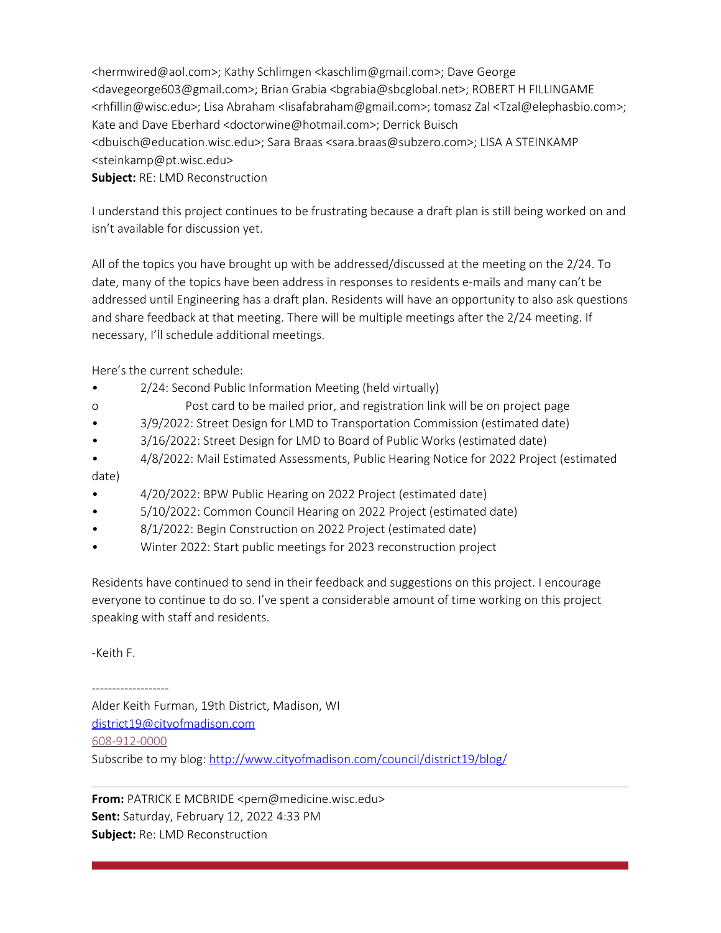<hermwired@aol.com>; Kathy Schlimgen <kaschlim@gmail.com>; Dave George <davegeorge603@gmail.com>; Brian Grabia <bgrabia@sbcglobal.net>; ROBERT H FILLINGAME <rhfillin@wisc.edu>; Lisa Abraham <lisafabraham@gmail.com>; tomasz Zal <Tzal@elephasbio.com>; Kate and Dave Eberhard <doctorwine@hotmail.com>; Derrick Buisch <dbuisch@education.wisc.edu>; Sara Braas <sara.braas@subzero.com>; LISA A STEINKAMP <steinkamp@pt.wisc.edu>

**Subject:** RE: LMD Reconstruction

I understand this project continues to be frustrating because a draft plan is still being worked on and isn't available for discussion yet.

All of the topics you have brought up with be addressed/discussed at the meeting on the 2/24. To date, many of the topics have been address in responses to residents e-mails and many can't be addressed until Engineering has a draft plan. Residents will have an opportunity to also ask questions and share feedback at that meeting. There will be multiple meetings after the 2/24 meeting. If necessary, I'll schedule additional meetings.

Here's the current schedule:

- 2/24: Second Public Information Meeting (held virtually)
- o Post card to be mailed prior, and registration link will be on project page
- 3/9/2022: Street Design for LMD to Transportation Commission (estimated date)
- 3/16/2022: Street Design for LMD to Board of Public Works (estimated date)
- 4/8/2022: Mail Estimated Assessments, Public Hearing Notice for 2022 Project (estimated date)
- 4/20/2022: BPW Public Hearing on 2022 Project (estimated date)
- 5/10/2022: Common Council Hearing on 2022 Project (estimated date)
- 8/1/2022: Begin Construction on 2022 Project (estimated date)
- Winter 2022: Start public meetings for 2023 reconstruction project

Residents have continued to send in their feedback and suggestions on this project. I encourage everyone to continue to do so. I've spent a considerable amount of time working on this project speaking with staff and residents.

-Keith F.

-------------------

Alder Keith Furman, 19th District, Madison, WI district19@cityofmadison.com 608-912-0000 Subscribe to my blog: http://www.cityofmadison.com/council/district19/blog/

**From:** PATRICK E MCBRIDE <pem@medicine.wisc.edu> **Sent:** Saturday, February 12, 2022 4:33 PM **Subject:** Re: LMD Reconstruction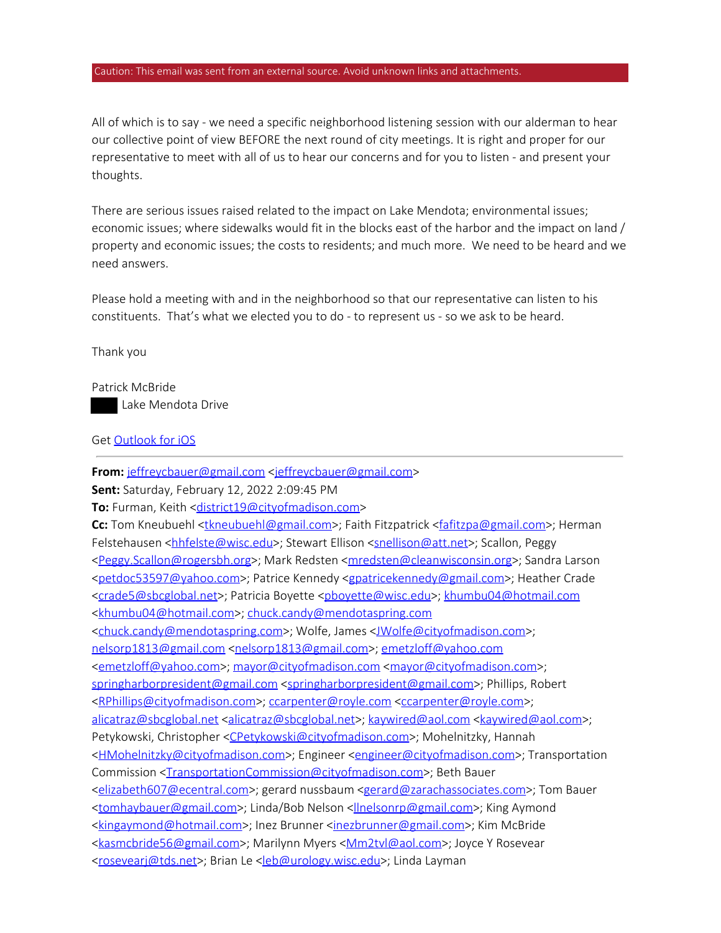#### Caution: This email was sent from an external source. Avoid unknown links and attachments.

All of which is to say - we need a specific neighborhood listening session with our alderman to hear our collective point of view BEFORE the next round of city meetings. It is right and proper for our representative to meet with all of us to hear our concerns and for you to listen - and present your thoughts.

There are serious issues raised related to the impact on Lake Mendota; environmental issues; economic issues; where sidewalks would fit in the blocks east of the harbor and the impact on land / property and economic issues; the costs to residents; and much more. We need to be heard and we need answers.

Please hold a meeting with and in the neighborhood so that our representative can listen to his constituents. That's what we elected you to do - to represent us - so we ask to be heard.

Thank you

Patrick McBride Lake Mendota Drive

## Get Outlook for iOS

From: jeffreycbauer@gmail.com <jeffreycbauer@gmail.com> **Sent:** Saturday, February 12, 2022 2:09:45 PM **To:** Furman, Keith <district19@cityofmadison.com> **Cc:** Tom Kneubuehl <**tkneubuehl@gmail.com>**; Faith Fitzpatrick <fafitzpa@gmail.com>; Herman Felstehausen <hhfelste@wisc.edu>; Stewart Ellison <snellison@att.net>; Scallon, Peggy <Peggy.Scallon@rogersbh.org>; Mark Redsten <mredsten@cleanwisconsin.org>; Sandra Larson <petdoc53597@yahoo.com>; Patrice Kennedy <gpatricekennedy@gmail.com>; Heather Crade <crade5@sbcglobal.net>; Patricia Boyette <pboyette@wisc.edu>; khumbu04@hotmail.com <khumbu04@hotmail.com>; chuck.candy@mendotaspring.com <chuck.candy@mendotaspring.com>; Wolfe, James <JWolfe@cityofmadison.com>; nelsorp1813@gmail.com <nelsorp1813@gmail.com>; emetzloff@yahoo.com <emetzloff@yahoo.com>; mayor@cityofmadison.com <mayor@cityofmadison.com>; springharborpresident@gmail.com <springharborpresident@gmail.com>; Phillips, Robert <RPhillips@cityofmadison.com>; ccarpenter@royle.com <ccarpenter@royle.com>; alicatraz@sbcglobal.net <alicatraz@sbcglobal.net>; kaywired@aol.com <kaywired@aol.com>; Petykowski, Christopher <CPetykowski@cityofmadison.com>; Mohelnitzky, Hannah <HMohelnitzky@cityofmadison.com>; Engineer <engineer@cityofmadison.com>; Transportation Commission <TransportationCommission@cityofmadison.com>; Beth Bauer <elizabeth607@ecentral.com>; gerard nussbaum <gerard@zarachassociates.com>; Tom Bauer <tomhaybauer@gmail.com>; Linda/Bob Nelson <llnelsonrp@gmail.com>; King Aymond <kingaymond@hotmail.com>; Inez Brunner <inezbrunner@gmail.com>; Kim McBride <kasmcbride56@gmail.com>; Marilynn Myers <Mm2tvl@aol.com>; Joyce Y Rosevear <rosevearj@tds.net>; Brian Le <leb@urology.wisc.edu>; Linda Layman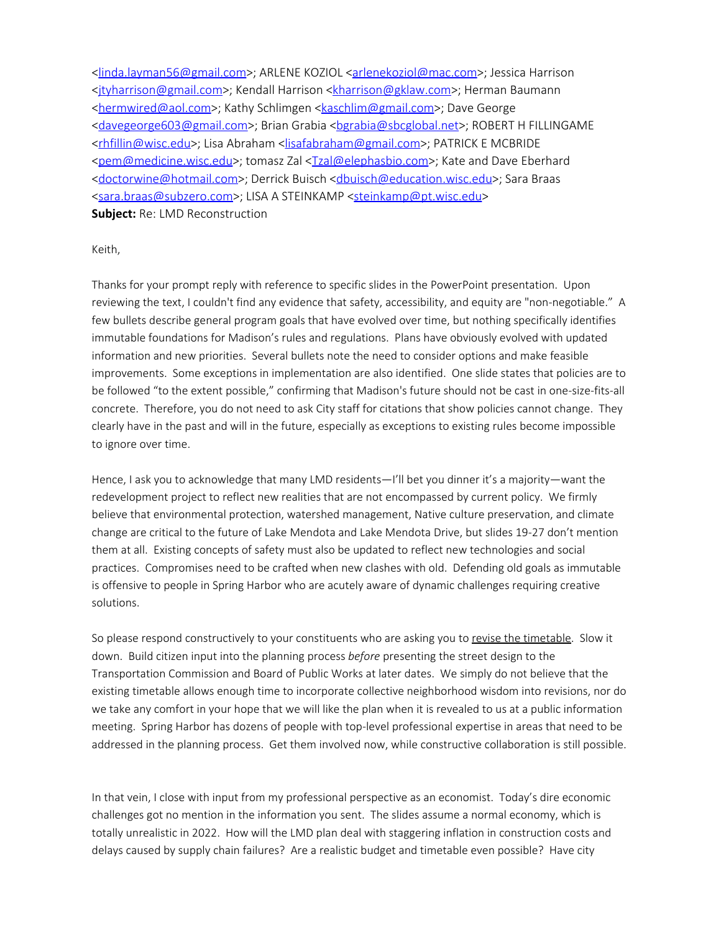<linda.layman56@gmail.com>; ARLENE KOZIOL <arlenekoziol@mac.com>; Jessica Harrison <jtyharrison@gmail.com>; Kendall Harrison <kharrison@gklaw.com>; Herman Baumann <hermwired@aol.com>; Kathy Schlimgen <kaschlim@gmail.com>; Dave George <davegeorge603@gmail.com>; Brian Grabia <bgrabia@sbcglobal.net>; ROBERT H FILLINGAME <rhfillin@wisc.edu>; Lisa Abraham <lisafabraham@gmail.com>; PATRICK E MCBRIDE <pem@medicine.wisc.edu>; tomasz Zal <Tzal@elephasbio.com>; Kate and Dave Eberhard <doctorwine@hotmail.com>; Derrick Buisch <dbuisch@education.wisc.edu>; Sara Braas <sara.braas@subzero.com>; LISA A STEINKAMP <steinkamp@pt.wisc.edu> **Subject:** Re: LMD Reconstruction

#### Keith,

Thanks for your prompt reply with reference to specific slides in the PowerPoint presentation. Upon reviewing the text, I couldn't find any evidence that safety, accessibility, and equity are "non-negotiable." A few bullets describe general program goals that have evolved over time, but nothing specifically identifies immutable foundations for Madison's rules and regulations. Plans have obviously evolved with updated information and new priorities. Several bullets note the need to consider options and make feasible improvements. Some exceptions in implementation are also identified. One slide states that policies are to be followed "to the extent possible," confirming that Madison's future should not be cast in one-size-fits-all concrete. Therefore, you do not need to ask City staff for citations that show policies cannot change. They clearly have in the past and will in the future, especially as exceptions to existing rules become impossible to ignore over time.

Hence, I ask you to acknowledge that many LMD residents—I'll bet you dinner it's a majority—want the redevelopment project to reflect new realities that are not encompassed by current policy. We firmly believe that environmental protection, watershed management, Native culture preservation, and climate change are critical to the future of Lake Mendota and Lake Mendota Drive, but slides 19-27 don't mention them at all. Existing concepts of safety must also be updated to reflect new technologies and social practices. Compromises need to be crafted when new clashes with old. Defending old goals as immutable is offensive to people in Spring Harbor who are acutely aware of dynamic challenges requiring creative solutions.

So please respond constructively to your constituents who are asking you to revise the timetable. Slow it down. Build citizen input into the planning process *before* presenting the street design to the Transportation Commission and Board of Public Works at later dates. We simply do not believe that the existing timetable allows enough time to incorporate collective neighborhood wisdom into revisions, nor do we take any comfort in your hope that we will like the plan when it is revealed to us at a public information meeting. Spring Harbor has dozens of people with top-level professional expertise in areas that need to be addressed in the planning process. Get them involved now, while constructive collaboration is still possible.

In that vein, I close with input from my professional perspective as an economist. Today's dire economic challenges got no mention in the information you sent. The slides assume a normal economy, which is totally unrealistic in 2022. How will the LMD plan deal with staggering inflation in construction costs and delays caused by supply chain failures? Are a realistic budget and timetable even possible? Have city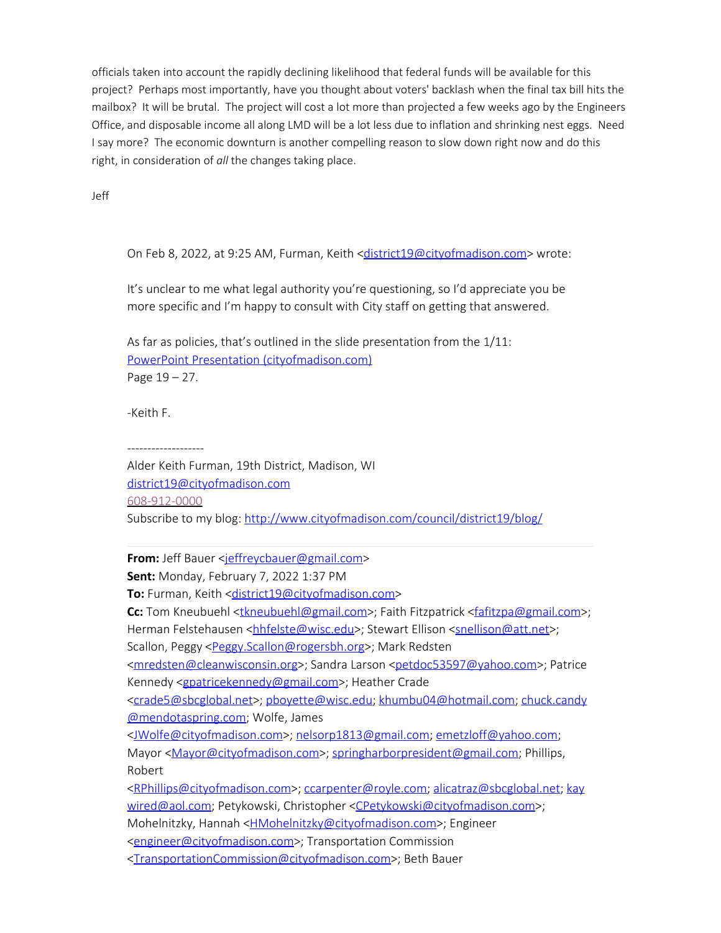officials taken into account the rapidly declining likelihood that federal funds will be available for this project? Perhaps most importantly, have you thought about voters' backlash when the final tax bill hits the mailbox? It will be brutal. The project will cost a lot more than projected a few weeks ago by the Engineers Office, and disposable income all along LMD will be a lot less due to inflation and shrinking nest eggs. Need I say more? The economic downturn is another compelling reason to slow down right now and do this right, in consideration of *all* the changes taking place.

Jeff

On Feb 8, 2022, at 9:25 AM, Furman, Keith <district19@cityofmadison.com> wrote:

It's unclear to me what legal authority you're questioning, so I'd appreciate you be more specific and I'm happy to consult with City staff on getting that answered.

As far as policies, that's outlined in the slide presentation from the 1/11: PowerPoint Presentation (cityofmadison.com) Page 19 – 27.

-Keith F.

-------------------

Alder Keith Furman, 19th District, Madison, WI district19@cityofmadison.com 608-912-0000 Subscribe to my blog: http://www.cityofmadison.com/council/district19/blog/

**From:** Jeff Bauer <jeffreycbauer@gmail.com>

**Sent:** Monday, February 7, 2022 1:37 PM

**To:** Furman, Keith <district19@cityofmadison.com>

**Cc:** Tom Kneubuehl <tkneubuehl@gmail.com>; Faith Fitzpatrick <fafitzpa@gmail.com>; Herman Felstehausen <hhfelste@wisc.edu>; Stewart Ellison <snellison@att.net>;

Scallon, Peggy <Peggy.Scallon@rogersbh.org>; Mark Redsten

<mredsten@cleanwisconsin.org>; Sandra Larson <petdoc53597@yahoo.com>; Patrice Kennedy <gpatricekennedy@gmail.com>; Heather Crade

<crade5@sbcglobal.net>; pboyette@wisc.edu; khumbu04@hotmail.com; chuck.candy @mendotaspring.com; Wolfe, James

<JWolfe@cityofmadison.com>; nelsorp1813@gmail.com; emetzloff@yahoo.com; Mayor <Mayor@cityofmadison.com>; springharborpresident@gmail.com; Phillips, Robert

<RPhillips@cityofmadison.com>; ccarpenter@royle.com; alicatraz@sbcglobal.net; kay wired@aol.com; Petykowski, Christopher <CPetykowski@cityofmadison.com>; Mohelnitzky, Hannah <**HMohelnitzky@cityofmadison.com>**; Engineer <engineer@cityofmadison.com>; Transportation Commission

<TransportationCommission@cityofmadison.com>; Beth Bauer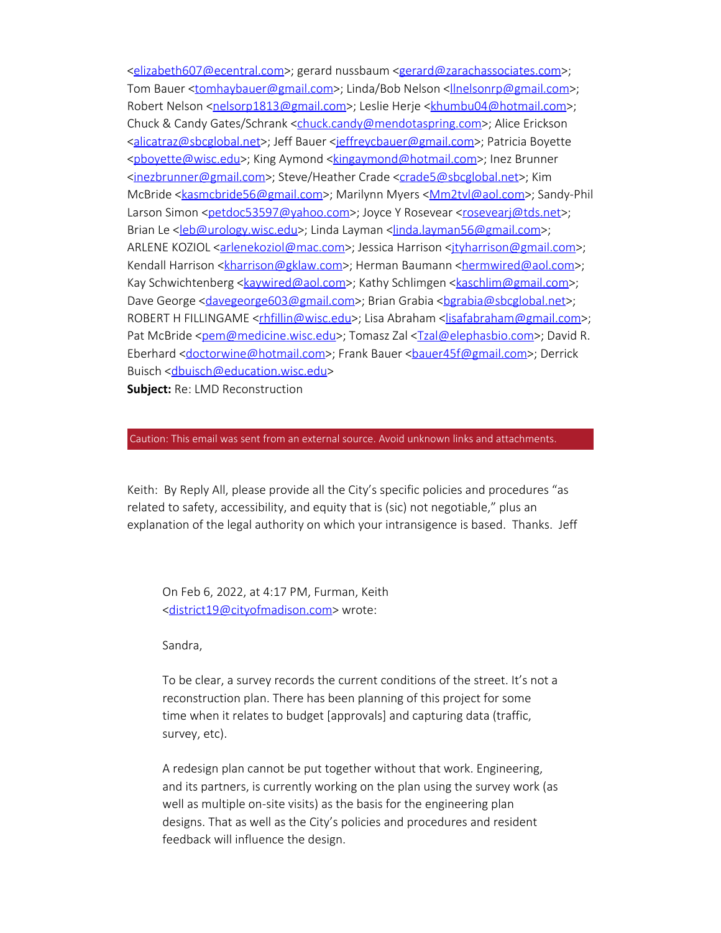<elizabeth607@ecentral.com>; gerard nussbaum <gerard@zarachassociates.com>; Tom Bauer <tomhaybauer@gmail.com>; Linda/Bob Nelson <**linelsonrp@gmail.com>**; Robert Nelson <nelsorp1813@gmail.com>; Leslie Herje <khumbu04@hotmail.com>; Chuck & Candy Gates/Schrank <chuck.candy@mendotaspring.com>; Alice Erickson <alicatraz@sbcglobal.net>; Jeff Bauer <jeffreycbauer@gmail.com>; Patricia Boyette <pboyette@wisc.edu>; King Aymond <kingaymond@hotmail.com>; Inez Brunner <inezbrunner@gmail.com>; Steve/Heather Crade <crade5@sbcglobal.net>; Kim McBride <kasmcbride56@gmail.com>; Marilynn Myers < Mm2tvl@aol.com>; Sandy-Phil Larson Simon <petdoc53597@yahoo.com>; Joyce Y Rosevear <rosevearj@tds.net>; Brian Le <leb@urology.wisc.edu>; Linda Layman <linda.layman56@gmail.com>; ARLENE KOZIOL <arlenekoziol@mac.com>; Jessica Harrison <ityharrison@gmail.com>; Kendall Harrison <kharrison@gklaw.com>; Herman Baumann <hermwired@aol.com>; Kay Schwichtenberg <**kaywired@aol.com>**; Kathy Schlimgen <**kaschlim@gmail.com>**; Dave George <davegeorge603@gmail.com>; Brian Grabia <br/> <br/>bgrabia@sbcglobal.net>; ROBERT H FILLINGAME <rhfillin@wisc.edu>; Lisa Abraham <lisafabraham@gmail.com>; Pat McBride <pem@medicine.wisc.edu>; Tomasz Zal <Tzal@elephasbio.com>; David R. Eberhard <doctorwine@hotmail.com>; Frank Bauer <br/>bauer45f@gmail.com>; Derrick Buisch <dbuisch@education.wisc.edu>

**Subject:** Re: LMD Reconstruction

#### Caution: This email was sent from an external source. Avoid unknown links and attachments.

Keith: By Reply All, please provide all the City's specific policies and procedures "as related to safety, accessibility, and equity that is (sic) not negotiable," plus an explanation of the legal authority on which your intransigence is based. Thanks. Jeff

On Feb 6, 2022, at 4:17 PM, Furman, Keith <district19@cityofmadison.com> wrote:

Sandra,

To be clear, a survey records the current conditions of the street. It's not a reconstruction plan. There has been planning of this project for some time when it relates to budget [approvals] and capturing data (traffic, survey, etc).

A redesign plan cannot be put together without that work. Engineering, and its partners, is currently working on the plan using the survey work (as well as multiple on-site visits) as the basis for the engineering plan designs. That as well as the City's policies and procedures and resident feedback will influence the design.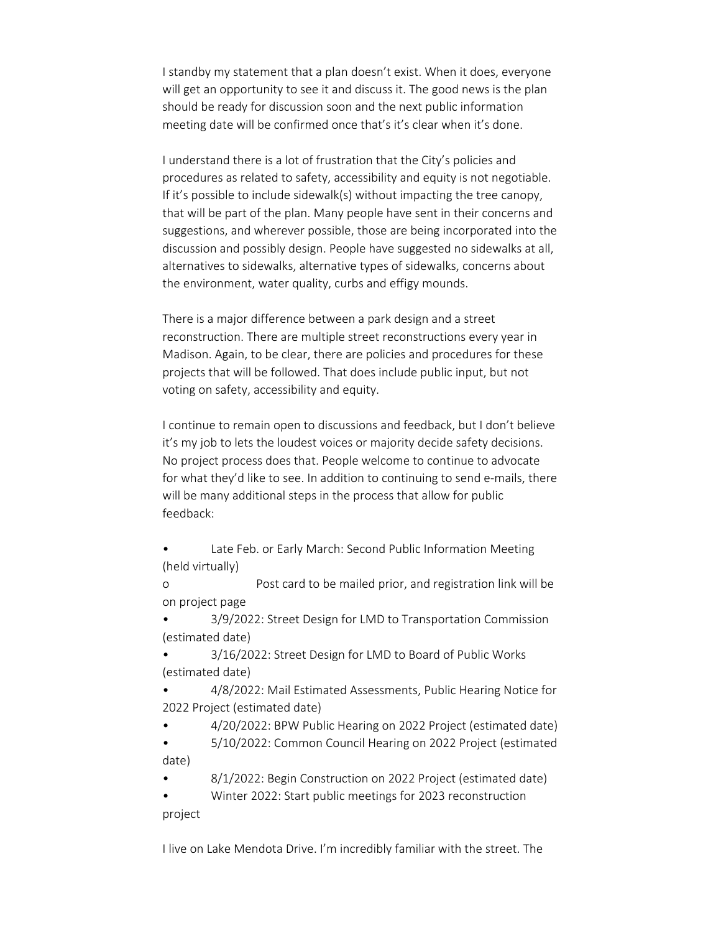I standby my statement that a plan doesn't exist. When it does, everyone will get an opportunity to see it and discuss it. The good news is the plan should be ready for discussion soon and the next public information meeting date will be confirmed once that's it's clear when it's done.

I understand there is a lot of frustration that the City's policies and procedures as related to safety, accessibility and equity is not negotiable. If it's possible to include sidewalk(s) without impacting the tree canopy, that will be part of the plan. Many people have sent in their concerns and suggestions, and wherever possible, those are being incorporated into the discussion and possibly design. People have suggested no sidewalks at all, alternatives to sidewalks, alternative types of sidewalks, concerns about the environment, water quality, curbs and effigy mounds.

There is a major difference between a park design and a street reconstruction. There are multiple street reconstructions every year in Madison. Again, to be clear, there are policies and procedures for these projects that will be followed. That does include public input, but not voting on safety, accessibility and equity.

I continue to remain open to discussions and feedback, but I don't believe it's my job to lets the loudest voices or majority decide safety decisions. No project process does that. People welcome to continue to advocate for what they'd like to see. In addition to continuing to send e-mails, there will be many additional steps in the process that allow for public feedback:

Late Feb. or Early March: Second Public Information Meeting (held virtually)

o Post card to be mailed prior, and registration link will be on project page

• 3/9/2022: Street Design for LMD to Transportation Commission (estimated date)

• 3/16/2022: Street Design for LMD to Board of Public Works (estimated date)

• 4/8/2022: Mail Estimated Assessments, Public Hearing Notice for 2022 Project (estimated date)

• 4/20/2022: BPW Public Hearing on 2022 Project (estimated date)

• 5/10/2022: Common Council Hearing on 2022 Project (estimated date)

• 8/1/2022: Begin Construction on 2022 Project (estimated date)

• Winter 2022: Start public meetings for 2023 reconstruction project

I live on Lake Mendota Drive. I'm incredibly familiar with the street. The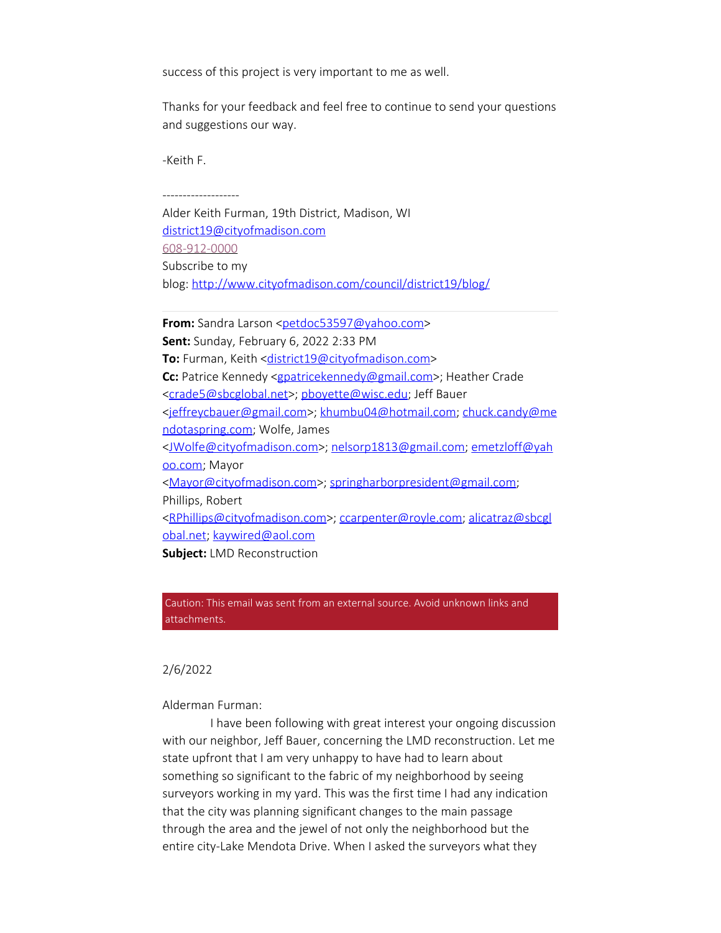success of this project is very important to me as well.

Thanks for your feedback and feel free to continue to send your questions and suggestions our way.

-Keith F.

-------------------

Alder Keith Furman, 19th District, Madison, WI district19@cityofmadison.com 608-912-0000 Subscribe to my blog: http://www.cityofmadison.com/council/district19/blog/

**From:** Sandra Larson <petdoc53597@yahoo.com> **Sent:** Sunday, February 6, 2022 2:33 PM **To:** Furman, Keith <district19@cityofmadison.com> **Cc:** Patrice Kennedy <gpatricekennedy@gmail.com>; Heather Crade <crade5@sbcglobal.net>; pboyette@wisc.edu; Jeff Bauer <jeffreycbauer@gmail.com>; khumbu04@hotmail.com; chuck.candy@me ndotaspring.com; Wolfe, James <JWolfe@cityofmadison.com>; nelsorp1813@gmail.com; emetzloff@yah oo.com; Mayor <Mayor@cityofmadison.com>; springharborpresident@gmail.com; Phillips, Robert <RPhillips@cityofmadison.com>; ccarpenter@royle.com; alicatraz@sbcgl obal.net; kaywired@aol.com **Subject:** LMD Reconstruction

Caution: This email was sent from an external source. Avoid unknown links and attachments.

### 2/6/2022

Alderman Furman:

 I have been following with great interest your ongoing discussion with our neighbor, Jeff Bauer, concerning the LMD reconstruction. Let me state upfront that I am very unhappy to have had to learn about something so significant to the fabric of my neighborhood by seeing surveyors working in my yard. This was the first time I had any indication that the city was planning significant changes to the main passage through the area and the jewel of not only the neighborhood but the entire city-Lake Mendota Drive. When I asked the surveyors what they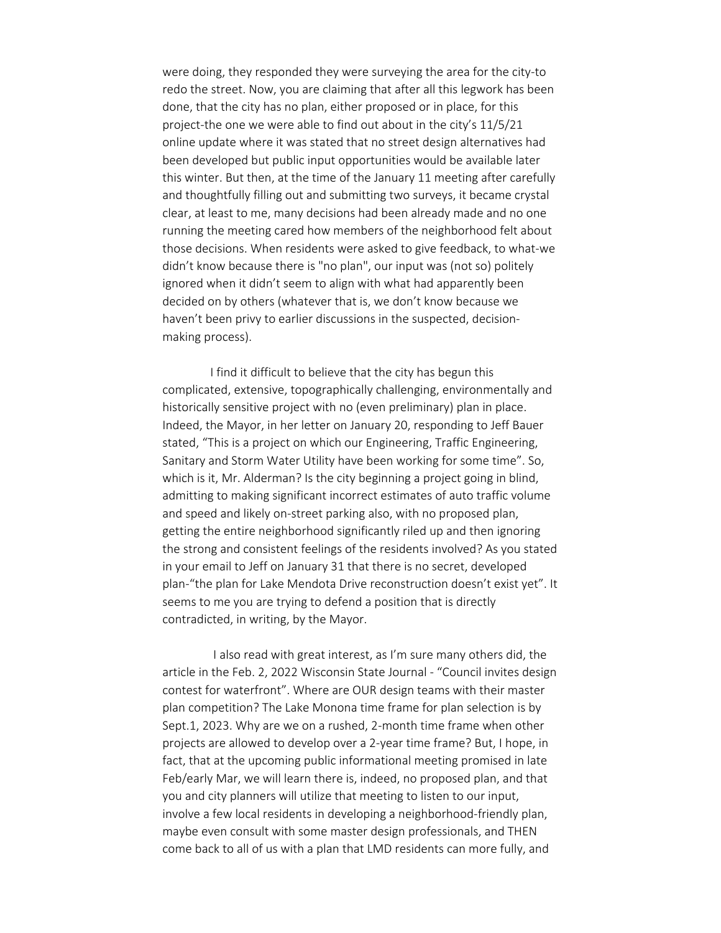were doing, they responded they were surveying the area for the city-to redo the street. Now, you are claiming that after all this legwork has been done, that the city has no plan, either proposed or in place, for this project-the one we were able to find out about in the city's 11/5/21 online update where it was stated that no street design alternatives had been developed but public input opportunities would be available later this winter. But then, at the time of the January 11 meeting after carefully and thoughtfully filling out and submitting two surveys, it became crystal clear, at least to me, many decisions had been already made and no one running the meeting cared how members of the neighborhood felt about those decisions. When residents were asked to give feedback, to what-we didn't know because there is "no plan", our input was (not so) politely ignored when it didn't seem to align with what had apparently been decided on by others (whatever that is, we don't know because we haven't been privy to earlier discussions in the suspected, decisionmaking process).

 I find it difficult to believe that the city has begun this complicated, extensive, topographically challenging, environmentally and historically sensitive project with no (even preliminary) plan in place. Indeed, the Mayor, in her letter on January 20, responding to Jeff Bauer stated, "This is a project on which our Engineering, Traffic Engineering, Sanitary and Storm Water Utility have been working for some time". So, which is it, Mr. Alderman? Is the city beginning a project going in blind, admitting to making significant incorrect estimates of auto traffic volume and speed and likely on-street parking also, with no proposed plan, getting the entire neighborhood significantly riled up and then ignoring the strong and consistent feelings of the residents involved? As you stated in your email to Jeff on January 31 that there is no secret, developed plan-"the plan for Lake Mendota Drive reconstruction doesn't exist yet". It seems to me you are trying to defend a position that is directly contradicted, in writing, by the Mayor.

 I also read with great interest, as I'm sure many others did, the article in the Feb. 2, 2022 Wisconsin State Journal - "Council invites design contest for waterfront". Where are OUR design teams with their master plan competition? The Lake Monona time frame for plan selection is by Sept.1, 2023. Why are we on a rushed, 2-month time frame when other projects are allowed to develop over a 2-year time frame? But, I hope, in fact, that at the upcoming public informational meeting promised in late Feb/early Mar, we will learn there is, indeed, no proposed plan, and that you and city planners will utilize that meeting to listen to our input, involve a few local residents in developing a neighborhood-friendly plan, maybe even consult with some master design professionals, and THEN come back to all of us with a plan that LMD residents can more fully, and